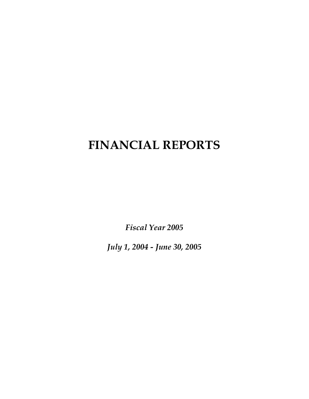# **FINANCIAL REPORTS**

*Fiscal Year 2005* 

*July 1, 2004 - June 30, 2005*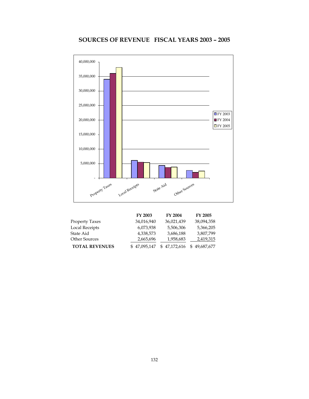# **SOURCES OF REVENUE FISCAL YEARS 2003 – 2005**



|                       | FY 2003      | FY 2004      | <b>FY 2005</b> |
|-----------------------|--------------|--------------|----------------|
| Property Taxes        | 34,016,940   | 36,021,439   | 38,094,358     |
| Local Receipts        | 6,073,938    | 5,506,306    | 5,366,205      |
| State Aid             | 4,338,573    | 3,686,188    | 3,807,799      |
| <b>Other Sources</b>  | 2,665,696    | 1,958,683    | 2,419,315      |
| <b>TOTAL REVENUES</b> | \$47,095,147 | \$47,172,616 | 49,687,677     |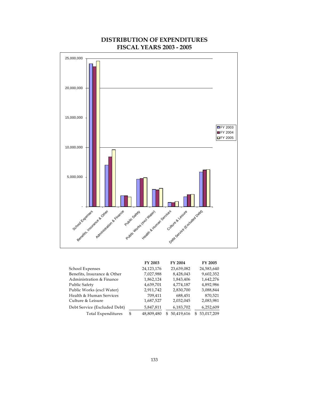

## **DISTRIBUTION OF EXPENDITURES FISCAL YEARS 2003 - 2005**

| FY 2003          | FY 2004         | FY 2005          |
|------------------|-----------------|------------------|
| 24,123,176       | 23,639,082      | 24,583,640       |
| 7,027,988        | 8,428,043       | 9,602,352        |
| 1,862,124        | 1,843,406       | 1,642,276        |
| 4,639,701        | 4,774,187       | 4,892,986        |
| 2,911,742        | 2,830,700       | 3,088,844        |
| 709,411          | 688,451         | 870,521          |
| 1,687,527        | 2,032,045       | 2,083,981        |
| 5,847,811        | 6,183,702       | 6,252,609        |
| \$<br>48,809,480 | 50,419,616<br>S | 53,017,209<br>S. |
|                  |                 |                  |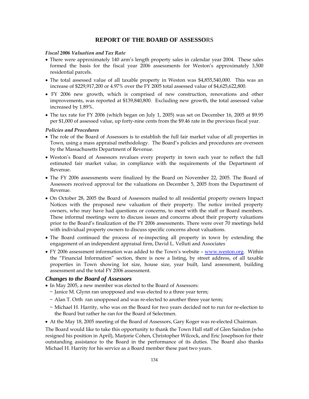#### **REPORT OF THE BOARD OF ASSESSO**RS

#### *Fiscal 2006 Valuation and Tax Rate*

- There were approximately 140 arm's length property sales in calendar year 2004. These sales formed the basis for the fiscal year 2006 assessments for Weston's approximately 3,500 residential parcels.
- The total assessed value of all taxable property in Weston was \$4,855,540,000. This was an increase of \$229,917,200 or 4.97% over the FY 2005 total assessed value of \$4,625,622,800.
- FY 2006 new growth, which is comprised of new construction, renovations and other improvements, was reported at \$139,840,800. Excluding new growth, the total assessed value increased by 1.89%.
- The tax rate for FY 2006 (which began on July 1, 2005) was set on December 16, 2005 at \$9.95 per \$1,000 of assessed value, up forty-nine cents from the \$9.46 rate in the previous fiscal year.

#### *Policies and Procedures*

- The role of the Board of Assessors is to establish the full fair market value of all properties in Town, using a mass appraisal methodology. The Board's policies and procedures are overseen by the Massachusetts Department of Revenue.
- Weston's Board of Assessors revalues every property in town each year to reflect the full estimated fair market value, in compliance with the requirements of the Department of Revenue.
- The FY 2006 assessments were finalized by the Board on November 22, 2005. The Board of Assessors received approval for the valuations on December 5, 2005 from the Department of Revenue.
- On October 28, 2005 the Board of Assessors mailed to all residential property owners Impact Notices with the proposed new valuation of their property. The notice invited property owners, who may have had questions or concerns, to meet with the staff or Board members. These informal meetings were to discuss issues and concerns about their property valuations prior to the Board's finalization of the FY 2006 assessments. There were over 70 meetings held with individual property owners to discuss specific concerns about valuations.
- The Board continued the process of re-inspecting all property in town by extending the engagement of an independent appraisal firm, David L. Velluti and Associates
- FY 2006 assessment information was added to the Town's website www.weston.org. Within the "Financial Information" section, there is now a listing, by street address, of all taxable properties in Town showing lot size, house size, year built, land assessment, building assessment and the total FY 2006 assessment.

#### *Changes to the Board of Assessors*

- In May 2005, a new member was elected to the Board of Assessors:
	- ~ Janice M. Glynn ran unopposed and was elected to a three year term;
	- ~ Alan T. Orth ran unopposed and was re-elected to another three year term;
	- ~ Michael H. Harrity, who was on the Board for two years decided not to run for re-election to the Board but rather he ran for the Board of Selectmen.
- At the May 18, 2005 meeting of the Board of Assessors, Gary Koger was re-elected Chairman.

The Board would like to take this opportunity to thank the Town Hall staff of Glen Saindon (who resigned his position in April), Marjorie Cohen, Christopher Wilcock, and Eric Josephson for their outstanding assistance to the Board in the performance of its duties. The Board also thanks Michael H. Harrity for his service as a Board member these past two years.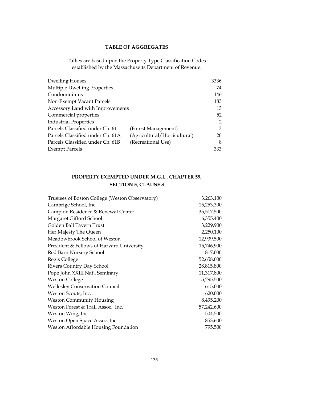### **TABLE OF AGGREGATES**

Tallies are based upon the Property Type Classification Codes established by the Massachusetts Department of Revenue.

| <b>Dwelling Houses</b>           |                              | 3336 |
|----------------------------------|------------------------------|------|
| Multiple Dwelling Properties     |                              | 74   |
| Condominiums                     |                              | 146  |
| Non-Exempt Vacant Parcels        |                              | 183  |
| Accessory Land with Improvements |                              | 13   |
| Commercial properties            |                              | 52   |
| <b>Industrial Properties</b>     |                              | 2    |
| Parcels Classified under Ch. 61  | (Forest Management)          | 3    |
| Parcels Classified under Ch. 61A | (Agricultural/Horticultural) | 20   |
| Parcels Classified under Ch. 61B | (Recreational Use)           | 8    |
| <b>Exempt Parcels</b>            |                              | 333  |

# **PROPERTY EXEMPTED UNDER M.G.L., CHAPTER 59, SECTION 5, CLAUSE 3**

| Trustees of Boston College (Weston Observatory) | 3,263,100  |
|-------------------------------------------------|------------|
| Cambrige School, Inc.                           | 15,253,300 |
| Campion Residence & Renewal Center              | 35,517,500 |
| Margaret Gifford School                         | 6,355,400  |
| Golden Ball Tavern Trust                        | 3,229,900  |
| Her Majesty The Queen                           | 2,250,100  |
| Meadowbrook School of Weston                    | 12,939,500 |
| President & Fellows of Harvard University       | 15,746,900 |
| Red Barn Nursery School                         | 817,000    |
| Regis College                                   | 52,658,000 |
| Rivers Country Day School                       | 28,815,800 |
| Pope John XXIII Nat'l Seminary                  | 11,317,800 |
| <b>Weston College</b>                           | 5,295,500  |
| <b>Wellesley Conservation Council</b>           | 615,000    |
| Weston Scouts, Inc.                             | 620,000    |
| <b>Weston Community Housing</b>                 | 8,495,200  |
| Weston Forest & Trail Assoc., Inc.              | 57,242,600 |
| Weston Wing, Inc.                               | 504,500    |
| Weston Open Space Assoc. Inc                    | 853,600    |
| Weston Affordable Housing Foundation            | 795,500    |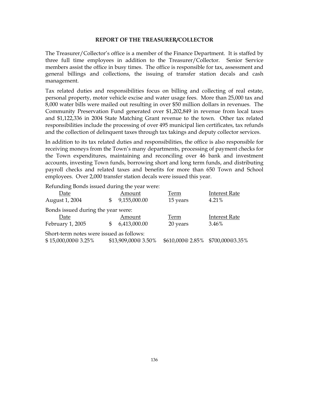#### **REPORT OF THE TREASURER/COLLECTOR**

The Treasurer/Collector's office is a member of the Finance Department. It is staffed by three full time employees in addition to the Treasurer/Collector. Senior Service members assist the office in busy times. The office is responsible for tax, assessment and general billings and collections, the issuing of transfer station decals and cash management.

Tax related duties and responsibilities focus on billing and collecting of real estate, personal property, motor vehicle excise and water usage fees. More than 25,000 tax and 8,000 water bills were mailed out resulting in over \$50 million dollars in revenues. The Community Preservation Fund generated over \$1,202,849 in revenue from local taxes and \$1,122,336 in 2004 State Matching Grant revenue to the town. Other tax related responsibilities include the processing of over 495 municipal lien certificates, tax refunds and the collection of delinquent taxes through tax takings and deputy collector services.

In addition to its tax related duties and responsibilities, the office is also responsible for receiving moneys from the Town's many departments, processing of payment checks for the Town expenditures, maintaining and reconciling over 46 bank and investment accounts, investing Town funds, borrowing short and long term funds, and distributing payroll checks and related taxes and benefits for more than 650 Town and School employees. Over 2,000 transfer station decals were issued this year.

Refunding Bonds issued during the year were:

| Date                                     |              | Amount              | Term                             | <b>Interest Rate</b> |  |
|------------------------------------------|--------------|---------------------|----------------------------------|----------------------|--|
| August 1, 2004                           | \$           | 9,155,000.00        | 15 years                         | 4.21%                |  |
| Bonds issued during the year were:       |              |                     |                                  |                      |  |
| Date                                     |              | Amount              | Term                             | <b>Interest Rate</b> |  |
| February 1, 2005                         | $\mathbb{S}$ | 6,413,000.00        | 20 years                         | 3.46%                |  |
| Short-term notes were issued as follows: |              |                     |                                  |                      |  |
| \$15,000,000@3.25%                       |              | \$13,909,000@ 3.50% | \$610,000@ 2.85% \$700,000@3.35% |                      |  |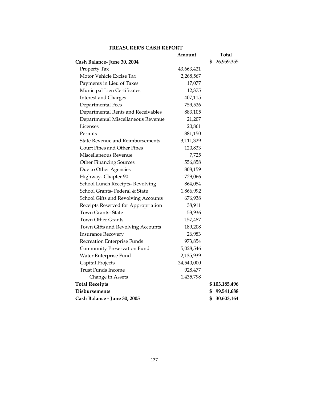### **TREASURER'S CASH REPORT**

|                                         | Amount     | <b>Total</b>     |
|-----------------------------------------|------------|------------------|
| Cash Balance-June 30, 2004              |            | 26,959,355<br>\$ |
| Property Tax                            | 43,663,421 |                  |
| Motor Vehicle Excise Tax                | 2,268,567  |                  |
| Payments in Lieu of Taxes               | 17,077     |                  |
| Municipal Lien Certificates             | 12,375     |                  |
| <b>Interest and Charges</b>             | 407,115    |                  |
| Departmental Fees                       | 759,526    |                  |
| Departmental Rents and Receivables      | 883,105    |                  |
| Departmental Miscellaneous Revenue      | 21,207     |                  |
| Licenses                                | 20,861     |                  |
| Permits                                 | 881,150    |                  |
| <b>State Revenue and Reimbursements</b> | 3,111,329  |                  |
| Court Fines and Other Fines             | 120,833    |                  |
| Miscellaneous Revenue                   | 7,725      |                  |
| <b>Other Financing Sources</b>          | 556,858    |                  |
| Due to Other Agencies                   | 808,159    |                  |
| Highway- Chapter 90                     | 729,066    |                  |
| School Lunch Receipts-Revolving         | 864,054    |                  |
| School Grants- Federal & State          | 1,866,992  |                  |
| School Gifts and Revolving Accounts     | 676,938    |                  |
| Receipts Reserved for Appropriation     | 38,911     |                  |
| <b>Town Grants-State</b>                | 53,936     |                  |
| <b>Town Other Grants</b>                | 157,487    |                  |
| Town Gifts and Revolving Accounts       | 189,208    |                  |
| <b>Insurance Recovery</b>               | 26,983     |                  |
| Recreation Enterprise Funds             | 973,854    |                  |
| Community Preservation Fund             | 5,028,546  |                  |
| Water Enterprise Fund                   | 2,135,939  |                  |
| Capital Projects                        | 34,540,000 |                  |
| <b>Trust Funds Income</b>               | 928,477    |                  |
| Change in Assets                        | 1,435,798  |                  |
| <b>Total Receipts</b>                   |            | \$103,185,496    |
| <b>Disbursements</b>                    |            | \$<br>99,541,688 |
| Cash Balance - June 30, 2005            |            | 30,603,164<br>\$ |